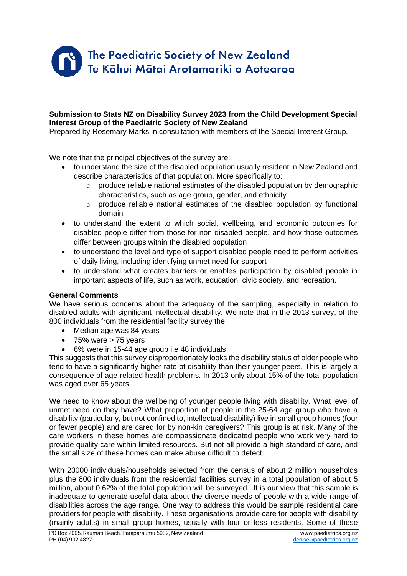

### **Submission to Stats NZ on Disability Survey 2023 from the Child Development Special Interest Group of the Paediatric Society of New Zealand**

Prepared by Rosemary Marks in consultation with members of the Special Interest Group.

We note that the principal objectives of the survey are:

- to understand the size of the disabled population usually resident in New Zealand and describe characteristics of that population. More specifically to:
	- o produce reliable national estimates of the disabled population by demographic characteristics, such as age group, gender, and ethnicity
	- $\circ$  produce reliable national estimates of the disabled population by functional domain
- to understand the extent to which social, wellbeing, and economic outcomes for disabled people differ from those for non-disabled people, and how those outcomes differ between groups within the disabled population
- to understand the level and type of support disabled people need to perform activities of daily living, including identifying unmet need for support
- to understand what creates barriers or enables participation by disabled people in important aspects of life, such as work, education, civic society, and recreation.

## **General Comments**

We have serious concerns about the adequacy of the sampling, especially in relation to disabled adults with significant intellectual disability. We note that in the 2013 survey, of the 800 individuals from the residential facility survey the

- Median age was 84 years
- $\bullet$  75% were  $>$  75 years
- 6% were in 15-44 age group i.e 48 individuals

This suggests that this survey disproportionately looks the disability status of older people who tend to have a significantly higher rate of disability than their younger peers. This is largely a consequence of age-related health problems. In 2013 only about 15% of the total population was aged over 65 years.

We need to know about the wellbeing of younger people living with disability. What level of unmet need do they have? What proportion of people in the 25-64 age group who have a disability (particularly, but not confined to, intellectual disability) live in small group homes (four or fewer people) and are cared for by non-kin caregivers? This group is at risk. Many of the care workers in these homes are compassionate dedicated people who work very hard to provide quality care within limited resources. But not all provide a high standard of care, and the small size of these homes can make abuse difficult to detect.

With 23000 individuals/households selected from the census of about 2 million households plus the 800 individuals from the residential facilities survey in a total population of about 5 million, about 0.62% of the total population will be surveyed. It is our view that this sample is inadequate to generate useful data about the diverse needs of people with a wide range of disabilities across the age range. One way to address this would be sample residential care providers for people with disability. These organisations provide care for people with disability (mainly adults) in small group homes, usually with four or less residents. Some of these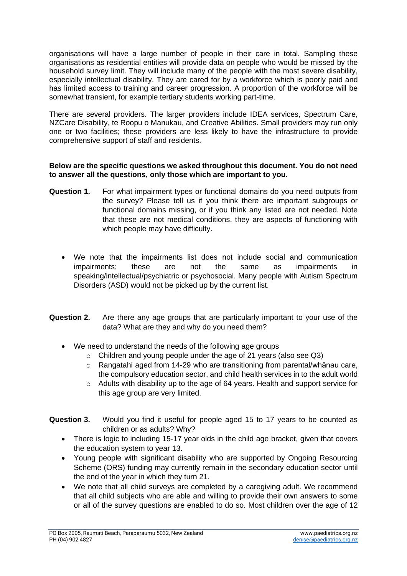organisations will have a large number of people in their care in total. Sampling these organisations as residential entities will provide data on people who would be missed by the household survey limit. They will include many of the people with the most severe disability, especially intellectual disability. They are cared for by a workforce which is poorly paid and has limited access to training and career progression. A proportion of the workforce will be somewhat transient, for example tertiary students working part-time.

There are several providers. The larger providers include IDEA services, Spectrum Care, NZCare Disability, te Roopu o Manukau, and Creative Abilities. Small providers may run only one or two facilities; these providers are less likely to have the infrastructure to provide comprehensive support of staff and residents.

### **Below are the specific questions we asked throughout this document. You do not need to answer all the questions, only those which are important to you.**

- **Question 1.** For what impairment types or functional domains do you need outputs from the survey? Please tell us if you think there are important subgroups or functional domains missing, or if you think any listed are not needed. Note that these are not medical conditions, they are aspects of functioning with which people may have difficulty.
	- We note that the impairments list does not include social and communication impairments; these are not the same as impairments in speaking/intellectual/psychiatric or psychosocial. Many people with Autism Spectrum Disorders (ASD) would not be picked up by the current list.
- **Question 2.** Are there any age groups that are particularly important to your use of the data? What are they and why do you need them?
	- We need to understand the needs of the following age groups
		- o Children and young people under the age of 21 years (also see Q3)
		- $\circ$  Rangatahi aged from 14-29 who are transitioning from parental/whānau care, the compulsory education sector, and child health services in to the adult world
		- $\circ$  Adults with disability up to the age of 64 years. Health and support service for this age group are very limited.
- **Question 3.** Would you find it useful for people aged 15 to 17 years to be counted as children or as adults? Why?
	- There is logic to including 15-17 year olds in the child age bracket, given that covers the education system to year 13.
	- Young people with significant disability who are supported by Ongoing Resourcing Scheme (ORS) funding may currently remain in the secondary education sector until the end of the year in which they turn 21.
	- We note that all child surveys are completed by a caregiving adult. We recommend that all child subjects who are able and willing to provide their own answers to some or all of the survey questions are enabled to do so. Most children over the age of 12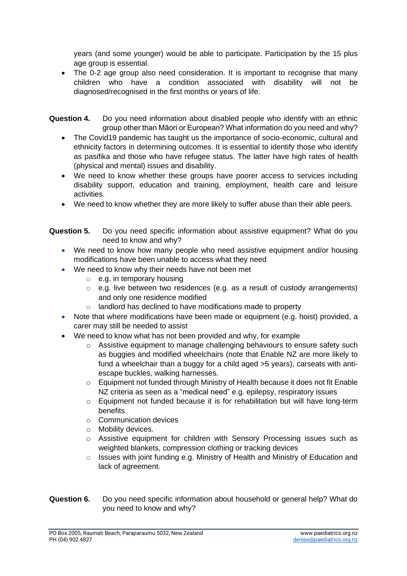years (and some younger) would be able to participate. Participation by the 15 plus age group is essential.

- The 0-2 age group also need consideration. It is important to recognise that many children who have a condition associated with disability will not be diagnosed/recognised in the first months or years of life.
- **Question 4.** Do you need information about disabled people who identify with an ethnic group other than Māori or European? What information do you need and why?
	- The Covid19 pandemic has taught us the importance of socio-economic, cultural and ethnicity factors in determining outcomes. It is essential to identify those who identify as pasifika and those who have refugee status. The latter have high rates of health (physical and mental) issues and disability.
	- We need to know whether these groups have poorer access to services including disability support, education and training, employment, health care and leisure activities.
	- We need to know whether they are more likely to suffer abuse than their able peers.
- **Question 5.** Do you need specific information about assistive equipment? What do you need to know and why?
	- We need to know how many people who need assistive equipment and/or housing modifications have been unable to access what they need
	- We need to know why their needs have not been met
		- $\circ$  e.g. in temporary housing
		- o e.g. live between two residences (e.g. as a result of custody arrangements) and only one residence modified
		- landlord has declined to have modifications made to property
	- Note that where modifications have been made or equipment (e.g. hoist) provided, a carer may still be needed to assist
	- We need to know what has not been provided and why, for example
		- $\circ$  Assistive equipment to manage challenging behaviours to ensure safety such as buggies and modified wheelchairs (note that Enable NZ are more likely to fund a wheelchair than a buggy for a child aged >5 years), carseats with antiescape buckles, walking harnesses.
		- o Equipment not funded through Ministry of Health because it does not fit Enable NZ criteria as seen as a "medical need" e.g. epilepsy, respiratory issues
		- o Equipment not funded because it is for rehabilitation but will have long-term benefits
		- o Communication devices
		- o Mobility devices.
		- $\circ$  Assistive equipment for children with Sensory Processing issues such as weighted blankets, compression clothing or tracking devices
		- $\circ$  Issues with joint funding e.g. Ministry of Health and Ministry of Education and lack of agreement.
- **Question 6.** Do you need specific information about household or general help? What do you need to know and why?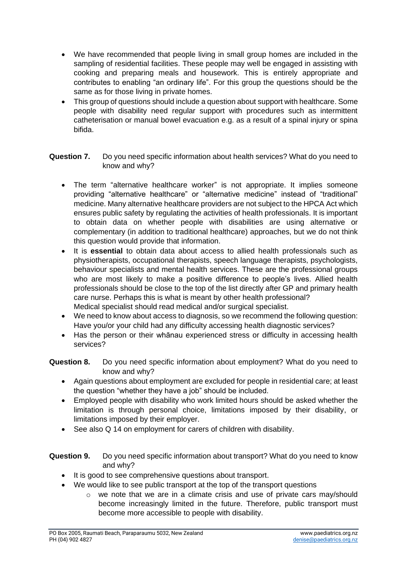- We have recommended that people living in small group homes are included in the sampling of residential facilities. These people may well be engaged in assisting with cooking and preparing meals and housework. This is entirely appropriate and contributes to enabling "an ordinary life". For this group the questions should be the same as for those living in private homes.
- This group of questions should include a question about support with healthcare. Some people with disability need regular support with procedures such as intermittent catheterisation or manual bowel evacuation e.g. as a result of a spinal injury or spina bifida.

## **Question 7.** Do you need specific information about health services? What do you need to know and why?

- The term "alternative healthcare worker" is not appropriate. It implies someone providing "alternative healthcare" or "alternative medicine" instead of "traditional" medicine. Many alternative healthcare providers are not subject to the HPCA Act which ensures public safety by regulating the activities of health professionals. It is important to obtain data on whether people with disabilities are using alternative or complementary (in addition to traditional healthcare) approaches, but we do not think this question would provide that information.
- It is **essential** to obtain data about access to allied health professionals such as physiotherapists, occupational therapists, speech language therapists, psychologists, behaviour specialists and mental health services. These are the professional groups who are most likely to make a positive difference to people's lives. Allied health professionals should be close to the top of the list directly after GP and primary health care nurse. Perhaps this is what is meant by other health professional? Medical specialist should read medical and/or surgical specialist.
- We need to know about access to diagnosis, so we recommend the following question: Have you/or your child had any difficulty accessing health diagnostic services?
- Has the person or their whānau experienced stress or difficulty in accessing health services?

**Question 8.** Do you need specific information about employment? What do you need to know and why?

- Again questions about employment are excluded for people in residential care; at least the question "whether they have a job" should be included.
- Employed people with disability who work limited hours should be asked whether the limitation is through personal choice, limitations imposed by their disability, or limitations imposed by their employer.
- See also Q 14 on employment for carers of children with disability.

**Question 9.** Do you need specific information about transport? What do you need to know and why?

- It is good to see comprehensive questions about transport.
- We would like to see public transport at the top of the transport questions
	- $\circ$  we note that we are in a climate crisis and use of private cars may/should become increasingly limited in the future. Therefore, public transport must become more accessible to people with disability.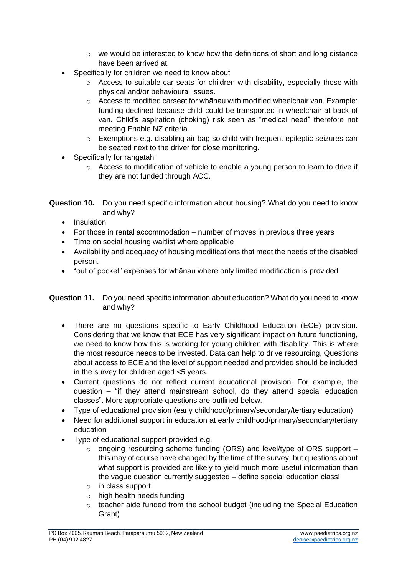- $\circ$  we would be interested to know how the definitions of short and long distance have been arrived at.
- Specifically for children we need to know about
	- Access to suitable car seats for children with disability, especially those with physical and/or behavioural issues.
	- o Access to modified carseat for whānau with modified wheelchair van. Example: funding declined because child could be transported in wheelchair at back of van. Child's aspiration (choking) risk seen as "medical need" therefore not meeting Enable NZ criteria.
	- o Exemptions e.g. disabling air bag so child with frequent epileptic seizures can be seated next to the driver for close monitoring.
- Specifically for rangatahi
	- $\circ$  Access to modification of vehicle to enable a young person to learn to drive if they are not funded through ACC.

| <b>Question 10.</b> Do you need specific information about housing? What do you need to know |
|----------------------------------------------------------------------------------------------|
| and why?                                                                                     |

- Insulation
- For those in rental accommodation number of moves in previous three years
- Time on social housing waitlist where applicable
- Availability and adequacy of housing modifications that meet the needs of the disabled person.
- "out of pocket" expenses for whānau where only limited modification is provided

# **Question 11.** Do you need specific information about education? What do you need to know and why?

- There are no questions specific to Early Childhood Education (ECE) provision. Considering that we know that ECE has very significant impact on future functioning, we need to know how this is working for young children with disability. This is where the most resource needs to be invested. Data can help to drive resourcing, Questions about access to ECE and the level of support needed and provided should be included in the survey for children aged <5 years.
- Current questions do not reflect current educational provision. For example, the question – "if they attend mainstream school, do they attend special education classes". More appropriate questions are outlined below.
- Type of educational provision (early childhood/primary/secondary/tertiary education)
- Need for additional support in education at early childhood/primary/secondary/tertiary education
- Type of educational support provided e.g.
	- $\circ$  ongoing resourcing scheme funding (ORS) and level/type of ORS support this may of course have changed by the time of the survey, but questions about what support is provided are likely to yield much more useful information than the vague question currently suggested – define special education class!
	- o in class support
	- o high health needs funding
	- o teacher aide funded from the school budget (including the Special Education Grant)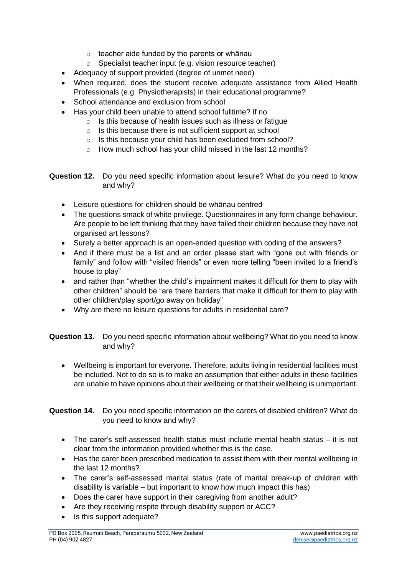- $\circ$  teacher aide funded by the parents or whānau
- o Specialist teacher input (e.g. vision resource teacher)
- Adequacy of support provided (degree of unmet need)
- When required, does the student receive adequate assistance from Allied Health Professionals (e.g. Physiotherapists) in their educational programme?
- School attendance and exclusion from school
- Has your child been unable to attend school fulltime? If no
	- o Is this because of health issues such as illness or fatigue
	- o Is this because there is not sufficient support at school
	- o Is this because your child has been excluded from school?
	- o How much school has your child missed in the last 12 months?

**Question 12.** Do you need specific information about leisure? What do you need to know and why?

- Leisure questions for children should be whānau centred
- The questions smack of white privilege. Questionnaires in any form change behaviour. Are people to be left thinking that they have failed their children because they have not organised art lessons?
- Surely a better approach is an open-ended question with coding of the answers?
- And if there must be a list and an order please start with "gone out with friends or family" and follow with "visited friends" or even more telling "been invited to a friend's house to play"
- and rather than "whether the child's impairment makes it difficult for them to play with other children" should be "are there barriers that make it difficult for them to play with other children/play sport/go away on holiday"
- Why are there no leisure questions for adults in residential care?
- **Question 13.** Do you need specific information about wellbeing? What do you need to know and why?
	- Wellbeing is important for everyone. Therefore, adults living in residential facilities must be included. Not to do so is to make an assumption that either adults in these facilities are unable to have opinions about their wellbeing or that their wellbeing is unimportant.

**Question 14.** Do you need specific information on the carers of disabled children? What do you need to know and why?

- The carer's self-assessed health status must include mental health status it is not clear from the information provided whether this is the case.
- Has the carer been prescribed medication to assist them with their mental wellbeing in the last 12 months?
- The carer's self-assessed marital status (rate of marital break-up of children with disability is variable – but important to know how much impact this has)
- Does the carer have support in their caregiving from another adult?
- Are they receiving respite through disability support or ACC?
- Is this support adequate?